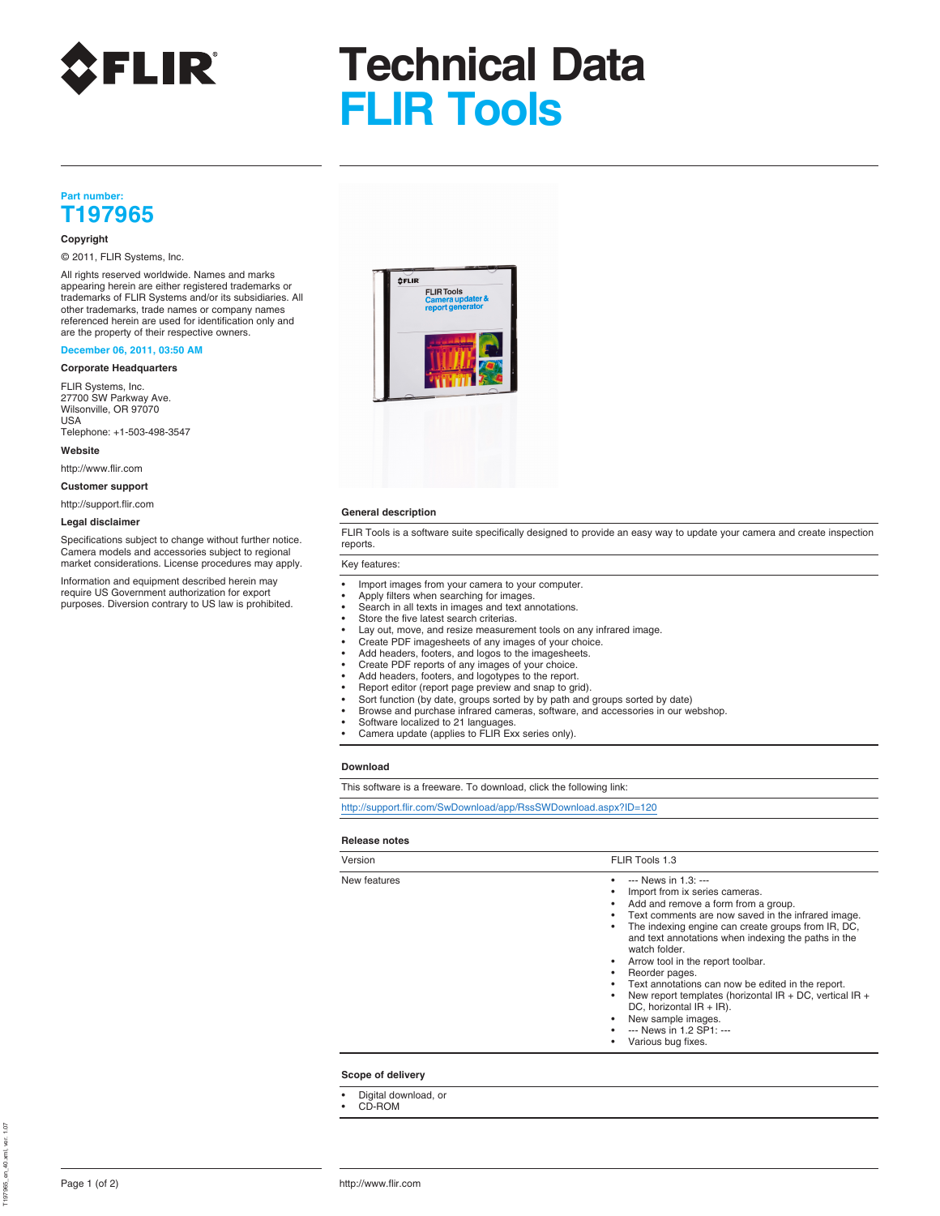

# **Technical Data FLIR Tools**

### **Part number: T197965**

### **Copyright**

© 2011, FLIR Systems, Inc.

All rights reserved worldwide. Names and marks appearing herein are either registered trademarks or trademarks of FLIR Systems and/or its subsidiaries. All other trademarks, trade names or company names referenced herein are used for identification only and are the property of their respective owners.

### **December 06, 2011, 03:50 AM**

### **Corporate Headquarters**

FLIR Systems, Inc. 27700 SW Parkway Ave. Wilsonville, OR 97070 USA

Telephone: +1-503-498-3547 **Website**

http://www.flir.com

**Customer support**

http://support.flir.com

### **Legal disclaimer**

Specifications subject to change without further notice. This is Camera models and accessories subject to regional market considerations. License procedures may apply. Key features:

Information and equipment described herein may<br>
require US Government authorization for export<br>
• Anniv filters when searching for images require US Government authorization for export • Apply filters when searching for images<br>purposes. Diversion contrary to US law is prohibited. • Search in all texts in images and text a



### **General description**

FLIR Tools is a software suite specifically designed to provide an easy way to update your camera and create inspection

- 
- 
- Search in all texts in images and text annotations.
- Store the five latest search criterias.
- Lay out, move, and resize measurement tools on any infrared image.
- Create PDF imagesheets of any images of your choice.
- Add headers, footers, and logos to the imagesheets.
- Create PDF reports of any images of your choice.
- Add headers, footers, and logotypes to the report. Report editor (report page preview and snap to grid).
- 
- Sort function (by date, groups sorted by by path and groups sorted by date) Browse and purchase infrared cameras, software, and accessories in our webshop.
- Software localized to 21 languages.
- Camera update (applies to FLIR Exx series only).

### **Download**

This software is a freeware. To download, click the following link:

http://support.flir.com/SwDownload/app/RssSWDownload.aspx?ID=120

### **Release notes**

| Version      | FLIR Tools 1.3                                                                                                                                                                                                                                                                                                                                                                                                                                                                                                                                                  |  |
|--------------|-----------------------------------------------------------------------------------------------------------------------------------------------------------------------------------------------------------------------------------------------------------------------------------------------------------------------------------------------------------------------------------------------------------------------------------------------------------------------------------------------------------------------------------------------------------------|--|
| New features | --- News in 1.3: ---<br>Import from ix series cameras.<br>Add and remove a form from a group.<br>Text comments are now saved in the infrared image.<br>The indexing engine can create groups from IR, DC,<br>and text annotations when indexing the paths in the<br>watch folder.<br>Arrow tool in the report toolbar.<br>Reorder pages.<br>Text annotations can now be edited in the report.<br>New report templates (horizontal IR + DC, vertical IR +<br>DC, horizontal $IR + IR$ ).<br>New sample images.<br>--- News in 1.2 SP1: ---<br>Various bug fixes. |  |

### **Scope of delivery**

- Digital download, or
- CD-ROM